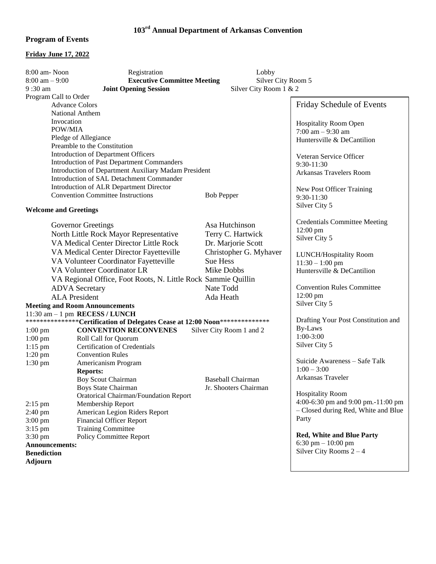## **103rd Annual Department of Arkansas Convention**

## **Program of Events**

## **Friday June 17, 2022**

| 8:00 am-Noon                                                                  | Registration                             | Lobby                    |                                      |
|-------------------------------------------------------------------------------|------------------------------------------|--------------------------|--------------------------------------|
| $8:00$ am $-9:00$                                                             | <b>Executive Committee Meeting</b>       | Silver City Room 5       |                                      |
| 9:30 am<br><b>Joint Opening Session</b><br>Silver City Room 1 & 2             |                                          |                          |                                      |
| Program Call to Order                                                         |                                          |                          |                                      |
|                                                                               | <b>Advance Colors</b>                    |                          | Friday Schedule of Events            |
|                                                                               | National Anthem                          |                          |                                      |
| Invocation                                                                    |                                          |                          | <b>Hospitality Room Open</b>         |
| POW/MIA                                                                       |                                          |                          | 7:00 am $-9:30$ am                   |
| Pledge of Allegiance                                                          |                                          |                          | Huntersville & DeCantilion           |
| Preamble to the Constitution                                                  |                                          |                          |                                      |
| Introduction of Department Officers                                           |                                          |                          | Veteran Service Officer              |
| <b>Introduction of Past Department Commanders</b>                             |                                          |                          | 9:30-11:30                           |
| Introduction of Department Auxiliary Madam President                          |                                          |                          | Arkansas Travelers Room              |
| Introduction of SAL Detachment Commander                                      |                                          |                          |                                      |
|                                                                               | Introduction of ALR Department Director  |                          | New Post Officer Training            |
|                                                                               | <b>Convention Committee Instructions</b> | <b>Bob Pepper</b>        | 9:30-11:30                           |
|                                                                               |                                          |                          | Silver City 5                        |
| <b>Welcome and Greetings</b>                                                  |                                          |                          |                                      |
|                                                                               | Governor Greetings                       | Asa Hutchinson           | <b>Credentials Committee Meeting</b> |
|                                                                               | North Little Rock Mayor Representative   | Terry C. Hartwick        | $12:00$ pm                           |
|                                                                               |                                          |                          | Silver City 5                        |
| VA Medical Center Director Little Rock<br>Dr. Marjorie Scott                  |                                          |                          |                                      |
| Christopher G. Myhaver<br>VA Medical Center Director Fayetteville             |                                          |                          | LUNCH/Hospitality Room               |
| Sue Hess<br>VA Volunteer Coordinator Fayetteville                             |                                          |                          | $11:30 - 1:00$ pm                    |
| VA Volunteer Coordinator LR<br>Mike Dobbs                                     |                                          |                          | Huntersville & DeCantilion           |
| VA Regional Office, Foot Roots, N. Little Rock Sammie Quillin                 |                                          |                          |                                      |
| Nate Todd<br><b>ADVA</b> Secretary                                            |                                          |                          | <b>Convention Rules Committee</b>    |
| <b>ALA</b> President<br>Ada Heath                                             |                                          |                          | 12:00 pm                             |
| <b>Meeting and Room Announcements</b>                                         |                                          |                          | Silver City 5                        |
| $11:30$ am $-1$ pm RECESS / LUNCH                                             |                                          |                          |                                      |
| ****************Certification of Delegates Cease at 12:00 Noon*************** |                                          |                          | Drafting Your Post Constitution and  |
| $1:00$ pm                                                                     | <b>CONVENTION RECONVENES</b>             | Silver City Room 1 and 2 | By-Laws                              |
| $1:00$ pm                                                                     | Roll Call for Quorum                     |                          | $1:00-3:00$                          |
| $1:15$ pm                                                                     | <b>Certification of Credentials</b>      |                          | Silver City 5                        |
| $1:20$ pm                                                                     | <b>Convention Rules</b>                  |                          |                                      |
| 1:30 pm                                                                       | Americanism Program                      |                          | Suicide Awareness - Safe Talk        |
|                                                                               | <b>Reports:</b>                          |                          | $1:00 - 3:00$                        |
|                                                                               | <b>Boy Scout Chairman</b>                | <b>Baseball Chairman</b> | Arkansas Traveler                    |
|                                                                               | Boys State Chairman                      | Jr. Shooters Chairman    |                                      |
|                                                                               | Oratorical Chairman/Foundation Report    |                          | <b>Hospitality Room</b>              |
| $2:15$ pm                                                                     | Membership Report                        |                          | 4:00-6:30 pm and 9:00 pm.-11:00 pm   |
| 2:40 pm                                                                       | American Legion Riders Report            |                          | - Closed during Red, White and Blue  |
| $3:00$ pm                                                                     | <b>Financial Officer Report</b>          |                          | Party                                |
| $3:15$ pm                                                                     | <b>Training Committee</b>                |                          |                                      |
| 3:30 pm                                                                       | <b>Policy Committee Report</b>           |                          | <b>Red, White and Blue Party</b>     |
| Announcements:                                                                |                                          |                          | 6:30 pm $-10:00$ pm                  |
| <b>Benediction</b>                                                            |                                          |                          | Silver City Rooms $2 - 4$            |
| <b>Adjourn</b>                                                                |                                          |                          |                                      |
|                                                                               |                                          |                          |                                      |